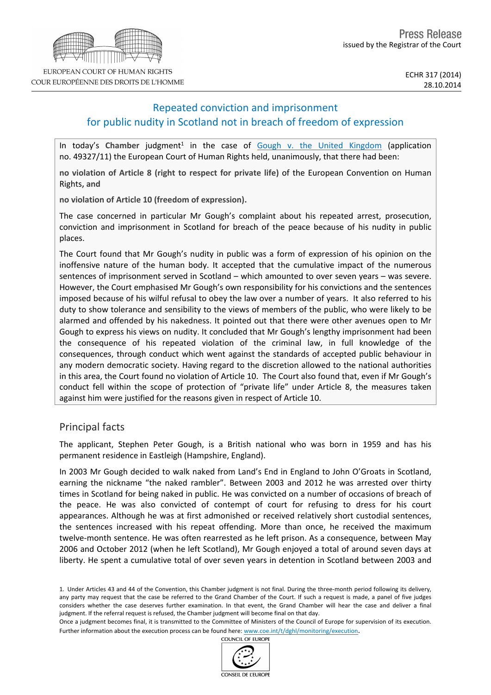

# Repeated conviction and imprisonment for public nudity in Scotland not in breach of freedom of expression

In today's Chamber judgment<sup>1</sup> in the case of [Gough](http://hudoc.echr.coe.int/sites/eng/pages/search.aspx?i=001-147623) [v.](http://hudoc.echr.coe.int/sites/eng/pages/search.aspx?i=001-147623) [the](http://hudoc.echr.coe.int/sites/eng/pages/search.aspx?i=001-147623) [United](http://hudoc.echr.coe.int/sites/eng/pages/search.aspx?i=001-147623) [Kingdom](http://hudoc.echr.coe.int/sites/eng/pages/search.aspx?i=001-147623) (application no. 49327/11) the European Court of Human Rights held, unanimously, that there had been:

**no violation of Article 8 (right to respect for private life)** of the European Convention on Human Rights**, and**

**no violation of Article 10 (freedom of expression).**

The case concerned in particular Mr Gough's complaint about his repeated arrest, prosecution, conviction and imprisonment in Scotland for breach of the peace because of his nudity in public places.

The Court found that Mr Gough's nudity in public was a form of expression of his opinion on the inoffensive nature of the human body. It accepted that the cumulative impact of the numerous sentences of imprisonment served in Scotland – which amounted to over seven years – was severe. However, the Court emphasised Mr Gough's own responsibility for his convictions and the sentences imposed because of his wilful refusal to obey the law over a number of years. It also referred to his duty to show tolerance and sensibility to the views of members of the public, who were likely to be alarmed and offended by his nakedness. It pointed out that there were other avenues open to Mr Gough to express his views on nudity. It concluded that Mr Gough's lengthy imprisonment had been the consequence of his repeated violation of the criminal law, in full knowledge of the consequences, through conduct which went against the standards of accepted public behaviour in any modern democratic society. Having regard to the discretion allowed to the national authorities in this area, the Court found no violation of Article 10. The Court also found that, even if Mr Gough's conduct fell within the scope of protection of "private life" under Article 8, the measures taken against him were justified for the reasons given in respect of Article 10.

# Principal facts

The applicant, Stephen Peter Gough, is a British national who was born in 1959 and has his permanent residence in Eastleigh (Hampshire, England).

In 2003 Mr Gough decided to walk naked from Land's End in England to John O'Groats in Scotland, earning the nickname "the naked rambler". Between 2003 and 2012 he was arrested over thirty times in Scotland for being naked in public. He was convicted on a number of occasions of breach of the peace. He was also convicted of contempt of court for refusing to dress for his court appearances. Although he was at first admonished or received relatively short custodial sentences, the sentences increased with his repeat offending. More than once, he received the maximum twelve-month sentence. He was often rearrested as he left prison. As a consequence, between May 2006 and October 2012 (when he left Scotland), Mr Gough enjoyed a total of around seven days at liberty. He spent a cumulative total of over seven years in detention in Scotland between 2003 and

COUNCIL OF EUROPE



<sup>1.</sup> Under Articles 43 and 44 of the Convention, this Chamber judgment is not final. During the three-month period following its delivery, any party may request that the case be referred to the Grand Chamber of the Court. If such a request is made, a panel of five judges considers whether the case deserves further examination. In that event, the Grand Chamber will hear the case and deliver a final judgment. If the referral request is refused, the Chamber judgment will become final on that day.

Once a judgment becomes final, it is transmitted to the Committee of Ministers of the Council of Europe for supervision of its execution. Further information about the execution process can be found here: [www.coe.int/t/dghl/monitoring/execution](http://www.coe.int/t/dghl/monitoring/execution).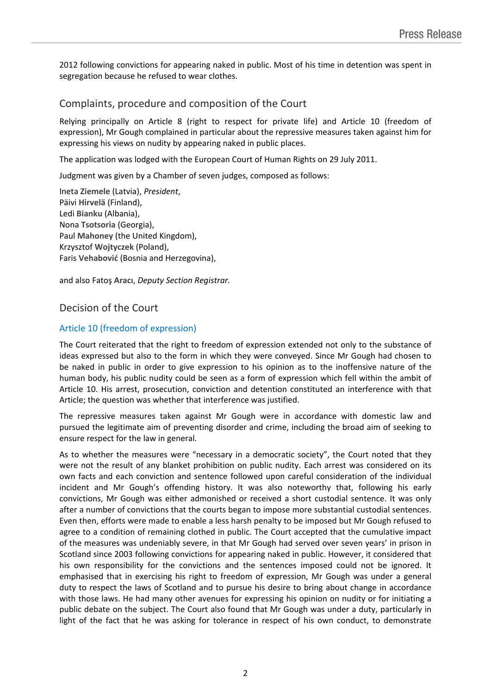2012 following convictions for appearing naked in public. Most of his time in detention was spent in segregation because he refused to wear clothes.

## Complaints, procedure and composition of the Court

Relying principally on Article 8 (right to respect for private life) and Article 10 (freedom of expression), Mr Gough complained in particular about the repressive measures taken against him for expressing his views on nudity by appearing naked in public places.

The application was lodged with the European Court of Human Rights on 29 July 2011.

Judgment was given by a Chamber of seven judges, composed as follows:

Ineta **Ziemele** (Latvia), *President*, Päivi **Hirvelä** (Finland), Ledi **Bianku** (Albania), Nona **Tsotsoria** (Georgia), Paul **Mahoney** (the United Kingdom), Krzysztof **Wojtyczek** (Poland), Faris **Vehabović** (Bosnia and Herzegovina),

and also Fatoş **Aracı**, *Deputy Section Registrar.*

## Decision of the Court

### Article 10 (freedom of expression)

The Court reiterated that the right to freedom of expression extended not only to the substance of ideas expressed but also to the form in which they were conveyed. Since Mr Gough had chosen to be naked in public in order to give expression to his opinion as to the inoffensive nature of the human body, his public nudity could be seen as a form of expression which fell within the ambit of Article 10. His arrest, prosecution, conviction and detention constituted an interference with that Article; the question was whether that interference was justified.

The repressive measures taken against Mr Gough were in accordance with domestic law and pursued the legitimate aim of preventing disorder and crime, including the broad aim of seeking to ensure respect for the law in general.

As to whether the measures were "necessary in a democratic society", the Court noted that they were not the result of any blanket prohibition on public nudity. Each arrest was considered on its own facts and each conviction and sentence followed upon careful consideration of the individual incident and Mr Gough's offending history. It was also noteworthy that, following his early convictions, Mr Gough was either admonished or received a short custodial sentence. It was only after a number of convictions that the courts began to impose more substantial custodial sentences. Even then, efforts were made to enable a less harsh penalty to be imposed but Mr Gough refused to agree to a condition of remaining clothed in public. The Court accepted that the cumulative impact of the measures was undeniably severe, in that Mr Gough had served over seven years' in prison in Scotland since 2003 following convictions for appearing naked in public. However, it considered that his own responsibility for the convictions and the sentences imposed could not be ignored. It emphasised that in exercising his right to freedom of expression, Mr Gough was under a general duty to respect the laws of Scotland and to pursue his desire to bring about change in accordance with those laws. He had many other avenues for expressing his opinion on nudity or for initiating a public debate on the subject. The Court also found that Mr Gough was under a duty, particularly in light of the fact that he was asking for tolerance in respect of his own conduct, to demonstrate